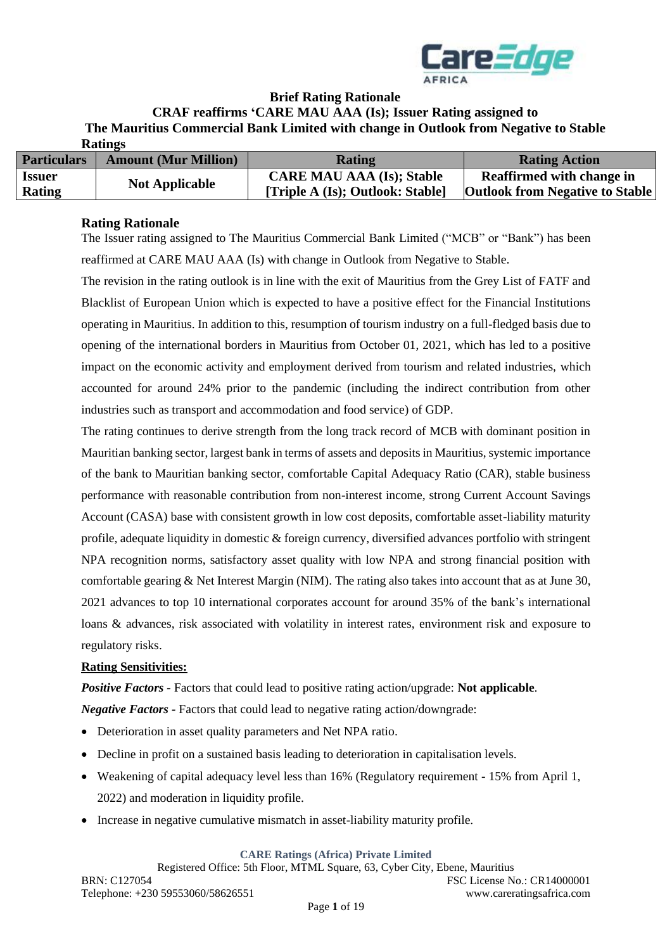

### **Brief Rating Rationale**

**CRAF reaffirms 'CARE MAU AAA (Is); Issuer Rating assigned to** 

**The Mauritius Commercial Bank Limited with change in Outlook from Negative to Stable** 

| <b>Ratings</b>     |                             |                                  |                                        |
|--------------------|-----------------------------|----------------------------------|----------------------------------------|
| <b>Particulars</b> | <b>Amount (Mur Million)</b> | <b>Rating</b>                    | <b>Rating Action</b>                   |
| <b>Issuer</b>      | <b>Not Applicable</b>       | <b>CARE MAU AAA (Is); Stable</b> | <b>Reaffirmed with change in</b>       |
| Rating             |                             | [Triple A (Is); Outlook: Stable] | <b>Outlook from Negative to Stable</b> |

#### **Rating Rationale**

The Issuer rating assigned to The Mauritius Commercial Bank Limited ("MCB" or "Bank") has been reaffirmed at CARE MAU AAA (Is) with change in Outlook from Negative to Stable.

The revision in the rating outlook is in line with the exit of Mauritius from the Grey List of FATF and Blacklist of European Union which is expected to have a positive effect for the Financial Institutions operating in Mauritius. In addition to this, resumption of tourism industry on a full-fledged basis due to opening of the international borders in Mauritius from October 01, 2021, which has led to a positive impact on the economic activity and employment derived from tourism and related industries, which accounted for around 24% prior to the pandemic (including the indirect contribution from other industries such as transport and accommodation and food service) of GDP.

The rating continues to derive strength from the long track record of MCB with dominant position in Mauritian banking sector, largest bank in terms of assets and deposits in Mauritius, systemic importance of the bank to Mauritian banking sector, comfortable Capital Adequacy Ratio (CAR), stable business performance with reasonable contribution from non-interest income, strong Current Account Savings Account (CASA) base with consistent growth in low cost deposits, comfortable asset-liability maturity profile, adequate liquidity in domestic & foreign currency, diversified advances portfolio with stringent NPA recognition norms, satisfactory asset quality with low NPA and strong financial position with comfortable gearing & Net Interest Margin (NIM). The rating also takes into account that as at June 30, 2021 advances to top 10 international corporates account for around 35% of the bank's international loans & advances, risk associated with volatility in interest rates, environment risk and exposure to regulatory risks.

### **Rating Sensitivities:**

*Positive Factors -* Factors that could lead to positive rating action/upgrade: **Not applicable***.*

*Negative Factors -* Factors that could lead to negative rating action/downgrade:

- Deterioration in asset quality parameters and Net NPA ratio.
- Decline in profit on a sustained basis leading to deterioration in capitalisation levels.
- Weakening of capital adequacy level less than 16% (Regulatory requirement 15% from April 1, 2022) and moderation in liquidity profile.
- Increase in negative cumulative mismatch in asset-liability maturity profile.

**CARE Ratings (Africa) Private Limited**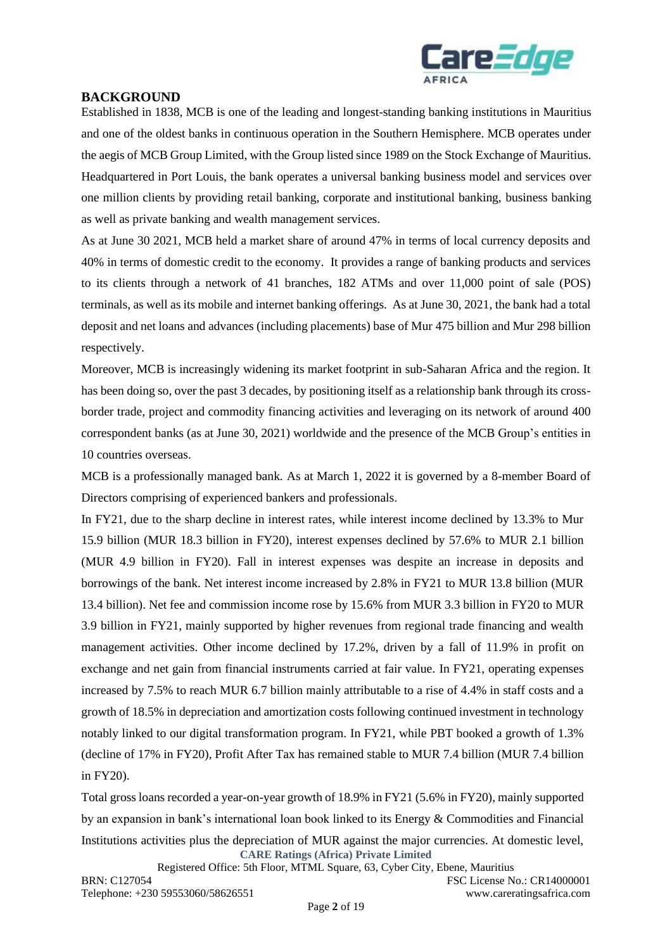

#### **BACKGROUND**

Established in 1838, MCB is one of the leading and longest-standing banking institutions in Mauritius and one of the oldest banks in continuous operation in the Southern Hemisphere. MCB operates under the aegis of MCB Group Limited, with the Group listed since 1989 on the Stock Exchange of Mauritius. Headquartered in Port Louis, the bank operates a universal banking business model and services over one million clients by providing retail banking, corporate and institutional banking, business banking as well as private banking and wealth management services.

As at June 30 2021, MCB held a market share of around 47% in terms of local currency deposits and 40% in terms of domestic credit to the economy. It provides a range of banking products and services to its clients through a network of 41 branches, 182 ATMs and over 11,000 point of sale (POS) terminals, as well as its mobile and internet banking offerings. As at June 30, 2021, the bank had a total deposit and net loans and advances (including placements) base of Mur 475 billion and Mur 298 billion respectively.

Moreover, MCB is increasingly widening its market footprint in sub-Saharan Africa and the region. It has been doing so, over the past 3 decades, by positioning itself as a relationship bank through its crossborder trade, project and commodity financing activities and leveraging on its network of around 400 correspondent banks (as at June 30, 2021) worldwide and the presence of the MCB Group's entities in 10 countries overseas.

MCB is a professionally managed bank. As at March 1, 2022 it is governed by a 8-member Board of Directors comprising of experienced bankers and professionals.

In FY21, due to the sharp decline in interest rates, while interest income declined by 13.3% to Mur 15.9 billion (MUR 18.3 billion in FY20), interest expenses declined by 57.6% to MUR 2.1 billion (MUR 4.9 billion in FY20). Fall in interest expenses was despite an increase in deposits and borrowings of the bank. Net interest income increased by 2.8% in FY21 to MUR 13.8 billion (MUR 13.4 billion). Net fee and commission income rose by 15.6% from MUR 3.3 billion in FY20 to MUR 3.9 billion in FY21, mainly supported by higher revenues from regional trade financing and wealth management activities. Other income declined by 17.2%, driven by a fall of 11.9% in profit on exchange and net gain from financial instruments carried at fair value. In FY21, operating expenses increased by 7.5% to reach MUR 6.7 billion mainly attributable to a rise of 4.4% in staff costs and a growth of 18.5% in depreciation and amortization costs following continued investment in technology notably linked to our digital transformation program. In FY21, while PBT booked a growth of 1.3% (decline of 17% in FY20), Profit After Tax has remained stable to MUR 7.4 billion (MUR 7.4 billion in FY20).

**CARE Ratings (Africa) Private Limited** Total gross loans recorded a year-on-year growth of 18.9% in FY21 (5.6% in FY20), mainly supported by an expansion in bank's international loan book linked to its Energy & Commodities and Financial Institutions activities plus the depreciation of MUR against the major currencies. At domestic level,

Registered Office: 5th Floor, MTML Square, 63, Cyber City, Ebene, Mauritius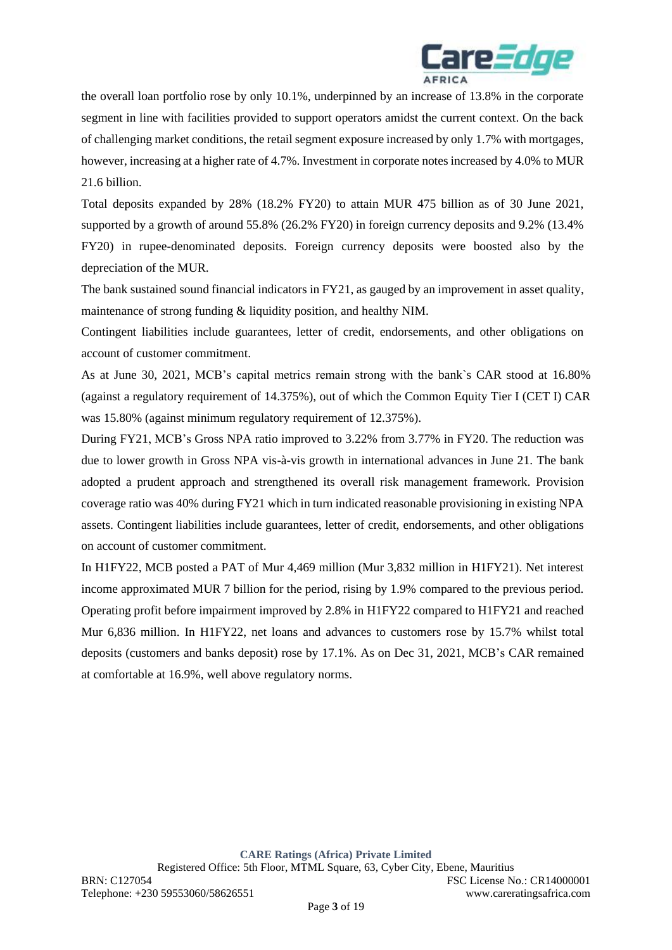

the overall loan portfolio rose by only 10.1%, underpinned by an increase of 13.8% in the corporate segment in line with facilities provided to support operators amidst the current context. On the back of challenging market conditions, the retail segment exposure increased by only 1.7% with mortgages, however, increasing at a higher rate of 4.7%. Investment in corporate notes increased by 4.0% to MUR 21.6 billion.

Total deposits expanded by 28% (18.2% FY20) to attain MUR 475 billion as of 30 June 2021, supported by a growth of around 55.8% (26.2% FY20) in foreign currency deposits and 9.2% (13.4% FY20) in rupee-denominated deposits. Foreign currency deposits were boosted also by the depreciation of the MUR.

The bank sustained sound financial indicators in FY21, as gauged by an improvement in asset quality, maintenance of strong funding & liquidity position, and healthy NIM.

Contingent liabilities include guarantees, letter of credit, endorsements, and other obligations on account of customer commitment.

As at June 30, 2021, MCB's capital metrics remain strong with the bank`s CAR stood at 16.80% (against a regulatory requirement of 14.375%), out of which the Common Equity Tier I (CET I) CAR was 15.80% (against minimum regulatory requirement of 12.375%).

During FY21, MCB's Gross NPA ratio improved to 3.22% from 3.77% in FY20. The reduction was due to lower growth in Gross NPA vis-à-vis growth in international advances in June 21. The bank adopted a prudent approach and strengthened its overall risk management framework. Provision coverage ratio was 40% during FY21 which in turn indicated reasonable provisioning in existing NPA assets. Contingent liabilities include guarantees, letter of credit, endorsements, and other obligations on account of customer commitment.

In H1FY22, MCB posted a PAT of Mur 4,469 million (Mur 3,832 million in H1FY21). Net interest income approximated MUR 7 billion for the period, rising by 1.9% compared to the previous period. Operating profit before impairment improved by 2.8% in H1FY22 compared to H1FY21 and reached Mur 6,836 million. In H1FY22, net loans and advances to customers rose by 15.7% whilst total deposits (customers and banks deposit) rose by 17.1%. As on Dec 31, 2021, MCB's CAR remained at comfortable at 16.9%, well above regulatory norms.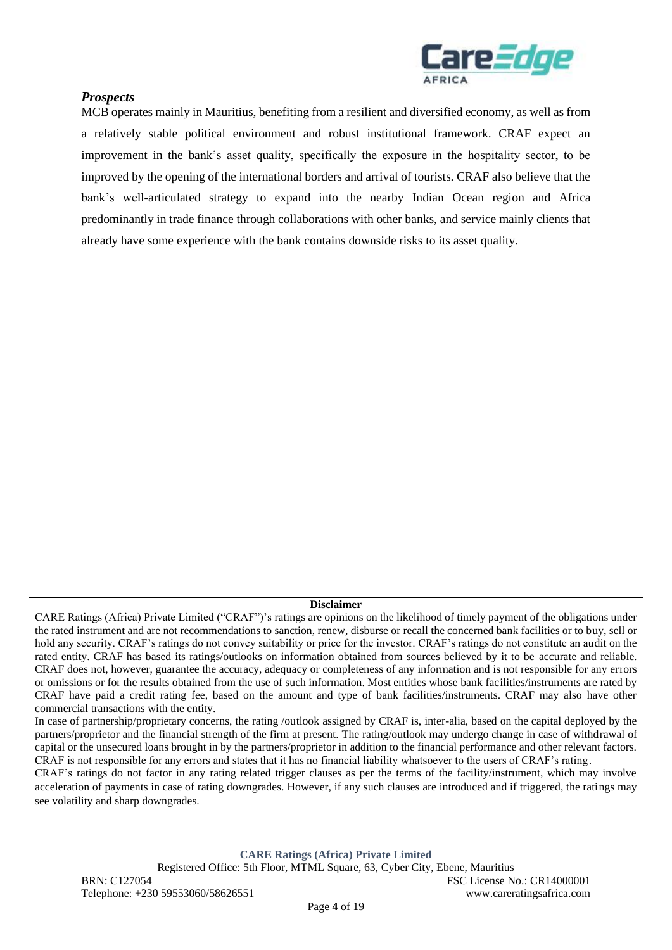

### *Prospects*

MCB operates mainly in Mauritius, benefiting from a resilient and diversified economy, as well as from a relatively stable political environment and robust institutional framework. CRAF expect an improvement in the bank's asset quality, specifically the exposure in the hospitality sector, to be improved by the opening of the international borders and arrival of tourists. CRAF also believe that the bank's well-articulated strategy to expand into the nearby Indian Ocean region and Africa predominantly in trade finance through collaborations with other banks, and service mainly clients that already have some experience with the bank contains downside risks to its asset quality.

#### **Disclaimer**

CARE Ratings (Africa) Private Limited ("CRAF")'s ratings are opinions on the likelihood of timely payment of the obligations under the rated instrument and are not recommendations to sanction, renew, disburse or recall the concerned bank facilities or to buy, sell or hold any security. CRAF's ratings do not convey suitability or price for the investor. CRAF's ratings do not constitute an audit on the rated entity. CRAF has based its ratings/outlooks on information obtained from sources believed by it to be accurate and reliable. CRAF does not, however, guarantee the accuracy, adequacy or completeness of any information and is not responsible for any errors or omissions or for the results obtained from the use of such information. Most entities whose bank facilities/instruments are rated by CRAF have paid a credit rating fee, based on the amount and type of bank facilities/instruments. CRAF may also have other commercial transactions with the entity.

In case of partnership/proprietary concerns, the rating /outlook assigned by CRAF is, inter-alia, based on the capital deployed by the partners/proprietor and the financial strength of the firm at present. The rating/outlook may undergo change in case of withdrawal of capital or the unsecured loans brought in by the partners/proprietor in addition to the financial performance and other relevant factors. CRAF is not responsible for any errors and states that it has no financial liability whatsoever to the users of CRAF's rating.

CRAF's ratings do not factor in any rating related trigger clauses as per the terms of the facility/instrument, which may involve acceleration of payments in case of rating downgrades. However, if any such clauses are introduced and if triggered, the ratings may see volatility and sharp downgrades.

**CARE Ratings (Africa) Private Limited**